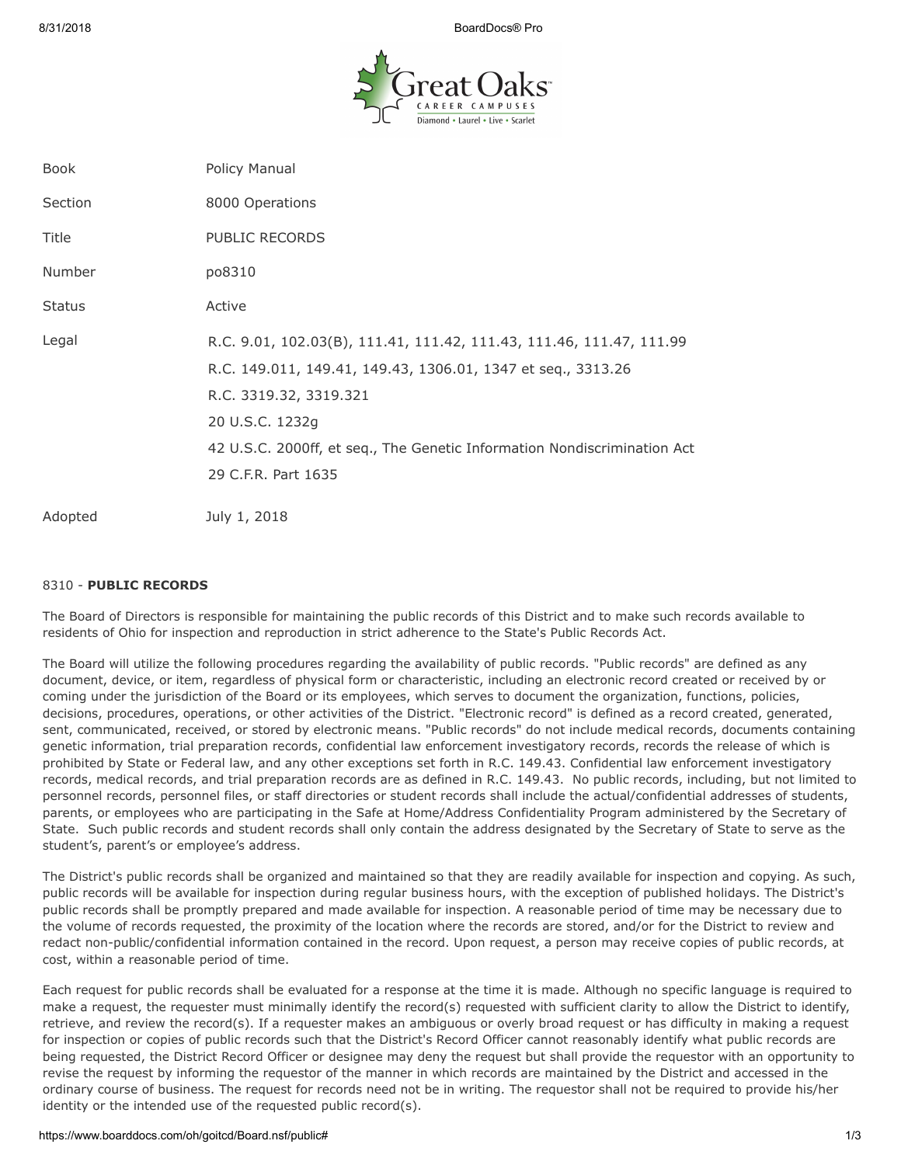8/31/2018 BoardDocs® Pro



| <b>Book</b>   | Policy Manual                                                                                                                                                                                                                                                                        |
|---------------|--------------------------------------------------------------------------------------------------------------------------------------------------------------------------------------------------------------------------------------------------------------------------------------|
| Section       | 8000 Operations                                                                                                                                                                                                                                                                      |
| Title         | PUBLIC RECORDS                                                                                                                                                                                                                                                                       |
| Number        | po8310                                                                                                                                                                                                                                                                               |
| <b>Status</b> | Active                                                                                                                                                                                                                                                                               |
| Legal         | R.C. 9.01, 102.03(B), 111.41, 111.42, 111.43, 111.46, 111.47, 111.99<br>R.C. 149.011, 149.41, 149.43, 1306.01, 1347 et seq., 3313.26<br>R.C. 3319.32, 3319.321<br>20 U.S.C. 1232g<br>42 U.S.C. 2000ff, et seq., The Genetic Information Nondiscrimination Act<br>29 C.F.R. Part 1635 |
| Adopted       | July 1, 2018                                                                                                                                                                                                                                                                         |

### 8310 - **PUBLIC RECORDS**

The Board of Directors is responsible for maintaining the public records of this District and to make such records available to residents of Ohio for inspection and reproduction in strict adherence to the State's Public Records Act.

The Board will utilize the following procedures regarding the availability of public records. "Public records" are defined as any document, device, or item, regardless of physical form or characteristic, including an electronic record created or received by or coming under the jurisdiction of the Board or its employees, which serves to document the organization, functions, policies, decisions, procedures, operations, or other activities of the District. "Electronic record" is defined as a record created, generated, sent, communicated, received, or stored by electronic means. "Public records" do not include medical records, documents containing genetic information, trial preparation records, confidential law enforcement investigatory records, records the release of which is prohibited by State or Federal law, and any other exceptions set forth in R.C. 149.43. Confidential law enforcement investigatory records, medical records, and trial preparation records are as defined in R.C. 149.43. No public records, including, but not limited to personnel records, personnel files, or staff directories or student records shall include the actual/confidential addresses of students, parents, or employees who are participating in the Safe at Home/Address Confidentiality Program administered by the Secretary of State. Such public records and student records shall only contain the address designated by the Secretary of State to serve as the student's, parent's or employee's address.

The District's public records shall be organized and maintained so that they are readily available for inspection and copying. As such, public records will be available for inspection during regular business hours, with the exception of published holidays. The District's public records shall be promptly prepared and made available for inspection. A reasonable period of time may be necessary due to the volume of records requested, the proximity of the location where the records are stored, and/or for the District to review and redact non-public/confidential information contained in the record. Upon request, a person may receive copies of public records, at cost, within a reasonable period of time.

Each request for public records shall be evaluated for a response at the time it is made. Although no specific language is required to make a request, the requester must minimally identify the record(s) requested with sufficient clarity to allow the District to identify, retrieve, and review the record(s). If a requester makes an ambiguous or overly broad request or has difficulty in making a request for inspection or copies of public records such that the District's Record Officer cannot reasonably identify what public records are being requested, the District Record Officer or designee may deny the request but shall provide the requestor with an opportunity to revise the request by informing the requestor of the manner in which records are maintained by the District and accessed in the ordinary course of business. The request for records need not be in writing. The requestor shall not be required to provide his/her identity or the intended use of the requested public record(s).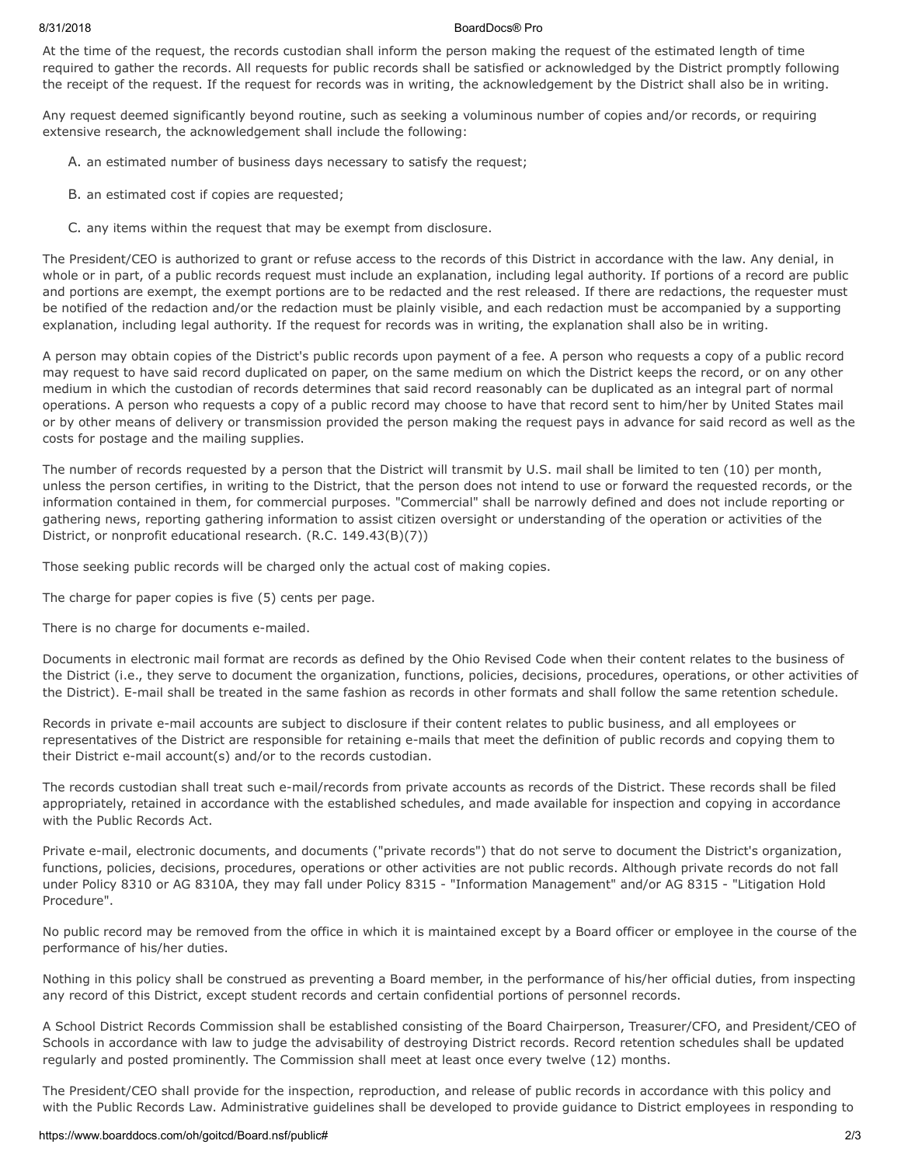### 8/31/2018 BoardDocs® Pro

At the time of the request, the records custodian shall inform the person making the request of the estimated length of time required to gather the records. All requests for public records shall be satisfied or acknowledged by the District promptly following the receipt of the request. If the request for records was in writing, the acknowledgement by the District shall also be in writing.

Any request deemed significantly beyond routine, such as seeking a voluminous number of copies and/or records, or requiring extensive research, the acknowledgement shall include the following:

- A. an estimated number of business days necessary to satisfy the request;
- B. an estimated cost if copies are requested;
- C. any items within the request that may be exempt from disclosure.

The President/CEO is authorized to grant or refuse access to the records of this District in accordance with the law. Any denial, in whole or in part, of a public records request must include an explanation, including legal authority. If portions of a record are public and portions are exempt, the exempt portions are to be redacted and the rest released. If there are redactions, the requester must be notified of the redaction and/or the redaction must be plainly visible, and each redaction must be accompanied by a supporting explanation, including legal authority. If the request for records was in writing, the explanation shall also be in writing.

A person may obtain copies of the District's public records upon payment of a fee. A person who requests a copy of a public record may request to have said record duplicated on paper, on the same medium on which the District keeps the record, or on any other medium in which the custodian of records determines that said record reasonably can be duplicated as an integral part of normal operations. A person who requests a copy of a public record may choose to have that record sent to him/her by United States mail or by other means of delivery or transmission provided the person making the request pays in advance for said record as well as the costs for postage and the mailing supplies.

The number of records requested by a person that the District will transmit by U.S. mail shall be limited to ten (10) per month, unless the person certifies, in writing to the District, that the person does not intend to use or forward the requested records, or the information contained in them, for commercial purposes. "Commercial" shall be narrowly defined and does not include reporting or gathering news, reporting gathering information to assist citizen oversight or understanding of the operation or activities of the District, or nonprofit educational research. (R.C. 149.43(B)(7))

Those seeking public records will be charged only the actual cost of making copies.

The charge for paper copies is five (5) cents per page.

There is no charge for documents e-mailed.

Documents in electronic mail format are records as defined by the Ohio Revised Code when their content relates to the business of the District (i.e., they serve to document the organization, functions, policies, decisions, procedures, operations, or other activities of the District). E-mail shall be treated in the same fashion as records in other formats and shall follow the same retention schedule.

Records in private e-mail accounts are subject to disclosure if their content relates to public business, and all employees or representatives of the District are responsible for retaining e-mails that meet the definition of public records and copying them to their District e-mail account(s) and/or to the records custodian.

The records custodian shall treat such e-mail/records from private accounts as records of the District. These records shall be filed appropriately, retained in accordance with the established schedules, and made available for inspection and copying in accordance with the Public Records Act.

Private e-mail, electronic documents, and documents ("private records") that do not serve to document the District's organization, functions, policies, decisions, procedures, operations or other activities are not public records. Although private records do not fall under Policy 8310 or AG 8310A, they may fall under Policy 8315 - "Information Management" and/or AG 8315 - "Litigation Hold Procedure".

No public record may be removed from the office in which it is maintained except by a Board officer or employee in the course of the performance of his/her duties.

Nothing in this policy shall be construed as preventing a Board member, in the performance of his/her official duties, from inspecting any record of this District, except student records and certain confidential portions of personnel records.

A School District Records Commission shall be established consisting of the Board Chairperson, Treasurer/CFO, and President/CEO of Schools in accordance with law to judge the advisability of destroying District records. Record retention schedules shall be updated regularly and posted prominently. The Commission shall meet at least once every twelve (12) months.

The President/CEO shall provide for the inspection, reproduction, and release of public records in accordance with this policy and with the Public Records Law. Administrative guidelines shall be developed to provide guidance to District employees in responding to